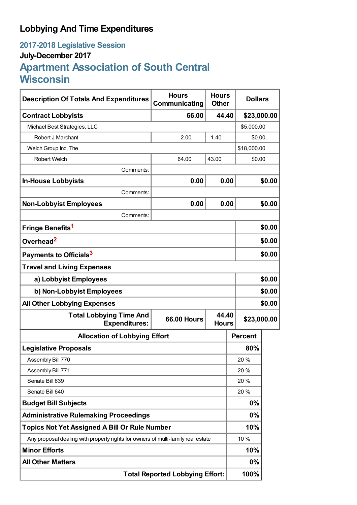## **Lobbying And Time Expenditures**

## **2017-2018 Legislative Session July-December 2017 Apartment Association of South Central Wisconsin**

| <b>Description Of Totals And Expenditures</b>                                    | <b>Hours</b><br>Communicating | <b>Hours</b><br><b>Other</b> | <b>Dollars</b> |        |  |
|----------------------------------------------------------------------------------|-------------------------------|------------------------------|----------------|--------|--|
| <b>Contract Lobbyists</b>                                                        | 66.00                         | 44.40                        | \$23,000.00    |        |  |
| Michael Best Strategies, LLC                                                     |                               |                              | \$5,000.00     |        |  |
| Robert J Marchant                                                                | 2.00                          | 1.40                         | \$0.00         |        |  |
| Welch Group Inc, The                                                             |                               |                              | \$18,000.00    |        |  |
| <b>Robert Welch</b>                                                              | 64.00                         | 43.00                        | \$0.00         |        |  |
| Comments:                                                                        |                               |                              |                |        |  |
| <b>In-House Lobbyists</b>                                                        | 0.00                          | 0.00                         |                | \$0.00 |  |
| Comments:                                                                        |                               |                              |                |        |  |
| <b>Non-Lobbyist Employees</b>                                                    | 0.00                          | 0.00                         |                | \$0.00 |  |
| Comments:                                                                        |                               |                              |                |        |  |
| Fringe Benefits <sup>1</sup>                                                     |                               |                              |                | \$0.00 |  |
| Overhead <sup>2</sup>                                                            |                               |                              |                | \$0.00 |  |
| Payments to Officials <sup>3</sup>                                               |                               |                              |                | \$0.00 |  |
| <b>Travel and Living Expenses</b>                                                |                               |                              |                |        |  |
| a) Lobbyist Employees                                                            |                               |                              |                | \$0.00 |  |
| b) Non-Lobbyist Employees                                                        |                               |                              |                | \$0.00 |  |
| <b>All Other Lobbying Expenses</b>                                               |                               |                              |                | \$0.00 |  |
| <b>Total Lobbying Time And</b><br><b>Expenditures:</b>                           | <b>66.00 Hours</b>            | 44.40<br><b>Hours</b>        | \$23,000.00    |        |  |
| <b>Allocation of Lobbying Effort</b>                                             |                               |                              | <b>Percent</b> |        |  |
| <b>Legislative Proposals</b>                                                     |                               |                              | 80%            |        |  |
| Assembly Bill 770                                                                |                               |                              | 20%            |        |  |
| Assembly Bill 771                                                                |                               |                              | 20%            |        |  |
| Senate Bill 639                                                                  |                               |                              | 20 %           |        |  |
| Senate Bill 640                                                                  |                               |                              | 20%            |        |  |
| <b>Budget Bill Subjects</b>                                                      |                               |                              | 0%             |        |  |
| <b>Administrative Rulemaking Proceedings</b>                                     |                               |                              | $0\%$          |        |  |
| <b>Topics Not Yet Assigned A Bill Or Rule Number</b>                             |                               | 10%                          |                |        |  |
| Any proposal dealing with property rights for owners of multi-family real estate |                               |                              | 10 %           |        |  |
| <b>Minor Efforts</b>                                                             |                               |                              | 10%            |        |  |
| <b>All Other Matters</b>                                                         |                               |                              | 0%             |        |  |
| <b>Total Reported Lobbying Effort:</b>                                           |                               |                              | 100%           |        |  |